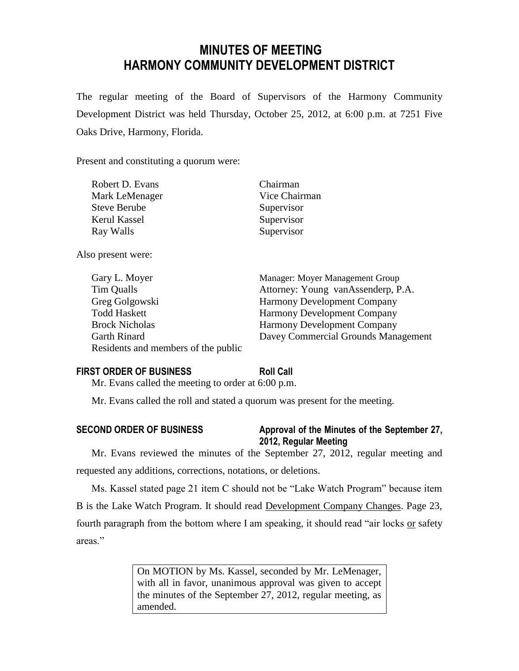# **MINUTES OF MEETING HARMONY COMMUNITY DEVELOPMENT DISTRICT**

The regular meeting of the Board of Supervisors of the Harmony Community Development District was held Thursday, October 25, 2012, at 6:00 p.m. at 7251 Five Oaks Drive, Harmony, Florida.

Present and constituting a quorum were:

| Robert D. Evans     | Chairman      |
|---------------------|---------------|
| Mark LeMenager      | Vice Chairman |
| <b>Steve Berube</b> | Supervisor    |
| Kerul Kassel        | Supervisor    |
| Ray Walls           | Supervisor    |

Also present were:

| Gary L. Moyer                       | Manager: Moyer Management Group     |
|-------------------------------------|-------------------------------------|
| <b>Tim Qualls</b>                   | Attorney: Young vanAssenderp, P.A.  |
| Greg Golgowski                      | <b>Harmony Development Company</b>  |
| <b>Todd Haskett</b>                 | <b>Harmony Development Company</b>  |
| <b>Brock Nicholas</b>               | <b>Harmony Development Company</b>  |
| Garth Rinard                        | Davey Commercial Grounds Management |
| Residents and members of the public |                                     |

# **FIRST ORDER OF BUSINESS Roll Call**

Mr. Evans called the meeting to order at 6:00 p.m.

Mr. Evans called the roll and stated a quorum was present for the meeting.

# **SECOND ORDER OF BUSINESS Approval of the Minutes of the September 27, 2012, Regular Meeting**

Mr. Evans reviewed the minutes of the September 27, 2012, regular meeting and requested any additions, corrections, notations, or deletions.

Ms. Kassel stated page 21 item C should not be "Lake Watch Program" because item B is the Lake Watch Program. It should read Development Company Changes. Page 23, fourth paragraph from the bottom where I am speaking, it should read "air locks or safety areas."

> On MOTION by Ms. Kassel, seconded by Mr. LeMenager, with all in favor, unanimous approval was given to accept the minutes of the September 27, 2012, regular meeting, as amended.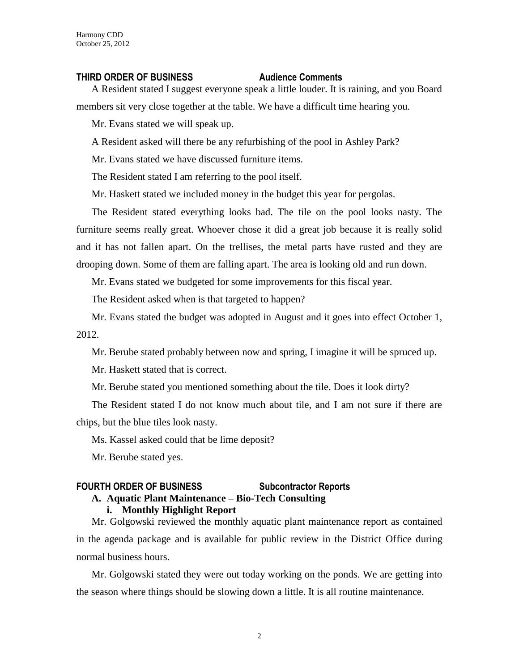## **THIRD ORDER OF BUSINESS Audience Comments**

A Resident stated I suggest everyone speak a little louder. It is raining, and you Board members sit very close together at the table. We have a difficult time hearing you.

Mr. Evans stated we will speak up.

A Resident asked will there be any refurbishing of the pool in Ashley Park?

Mr. Evans stated we have discussed furniture items.

The Resident stated I am referring to the pool itself.

Mr. Haskett stated we included money in the budget this year for pergolas.

The Resident stated everything looks bad. The tile on the pool looks nasty. The furniture seems really great. Whoever chose it did a great job because it is really solid and it has not fallen apart. On the trellises, the metal parts have rusted and they are drooping down. Some of them are falling apart. The area is looking old and run down.

Mr. Evans stated we budgeted for some improvements for this fiscal year.

The Resident asked when is that targeted to happen?

Mr. Evans stated the budget was adopted in August and it goes into effect October 1, 2012.

Mr. Berube stated probably between now and spring, I imagine it will be spruced up.

Mr. Haskett stated that is correct.

Mr. Berube stated you mentioned something about the tile. Does it look dirty?

The Resident stated I do not know much about tile, and I am not sure if there are chips, but the blue tiles look nasty.

Ms. Kassel asked could that be lime deposit?

Mr. Berube stated yes.

# **FOURTH ORDER OF BUSINESS Subcontractor Reports A. Aquatic Plant Maintenance – Bio-Tech Consulting**

## **i. Monthly Highlight Report**

Mr. Golgowski reviewed the monthly aquatic plant maintenance report as contained in the agenda package and is available for public review in the District Office during normal business hours.

Mr. Golgowski stated they were out today working on the ponds. We are getting into the season where things should be slowing down a little. It is all routine maintenance.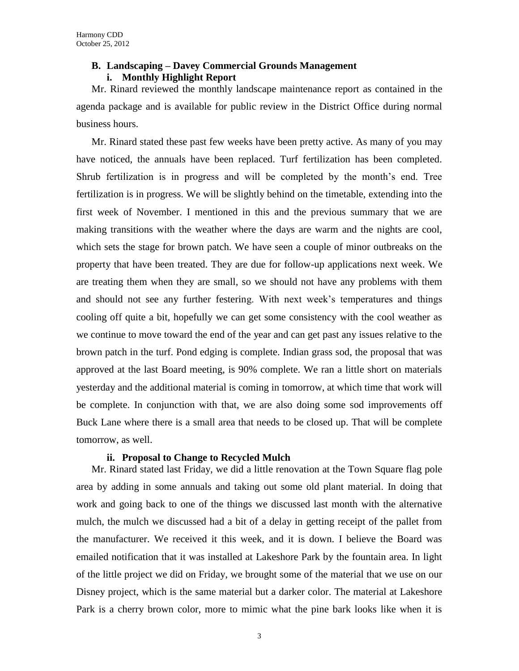# **B. Landscaping – Davey Commercial Grounds Management i. Monthly Highlight Report**

Mr. Rinard reviewed the monthly landscape maintenance report as contained in the agenda package and is available for public review in the District Office during normal business hours.

Mr. Rinard stated these past few weeks have been pretty active. As many of you may have noticed, the annuals have been replaced. Turf fertilization has been completed. Shrub fertilization is in progress and will be completed by the month's end. Tree fertilization is in progress. We will be slightly behind on the timetable, extending into the first week of November. I mentioned in this and the previous summary that we are making transitions with the weather where the days are warm and the nights are cool, which sets the stage for brown patch. We have seen a couple of minor outbreaks on the property that have been treated. They are due for follow-up applications next week. We are treating them when they are small, so we should not have any problems with them and should not see any further festering. With next week's temperatures and things cooling off quite a bit, hopefully we can get some consistency with the cool weather as we continue to move toward the end of the year and can get past any issues relative to the brown patch in the turf. Pond edging is complete. Indian grass sod, the proposal that was approved at the last Board meeting, is 90% complete. We ran a little short on materials yesterday and the additional material is coming in tomorrow, at which time that work will be complete. In conjunction with that, we are also doing some sod improvements off Buck Lane where there is a small area that needs to be closed up. That will be complete tomorrow, as well.

# **ii. Proposal to Change to Recycled Mulch**

Mr. Rinard stated last Friday, we did a little renovation at the Town Square flag pole area by adding in some annuals and taking out some old plant material. In doing that work and going back to one of the things we discussed last month with the alternative mulch, the mulch we discussed had a bit of a delay in getting receipt of the pallet from the manufacturer. We received it this week, and it is down. I believe the Board was emailed notification that it was installed at Lakeshore Park by the fountain area. In light of the little project we did on Friday, we brought some of the material that we use on our Disney project, which is the same material but a darker color. The material at Lakeshore Park is a cherry brown color, more to mimic what the pine bark looks like when it is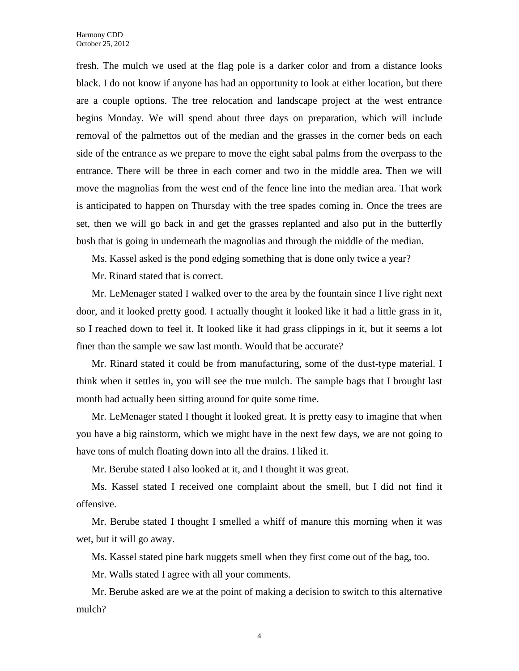fresh. The mulch we used at the flag pole is a darker color and from a distance looks black. I do not know if anyone has had an opportunity to look at either location, but there are a couple options. The tree relocation and landscape project at the west entrance begins Monday. We will spend about three days on preparation, which will include removal of the palmettos out of the median and the grasses in the corner beds on each side of the entrance as we prepare to move the eight sabal palms from the overpass to the entrance. There will be three in each corner and two in the middle area. Then we will move the magnolias from the west end of the fence line into the median area. That work is anticipated to happen on Thursday with the tree spades coming in. Once the trees are set, then we will go back in and get the grasses replanted and also put in the butterfly bush that is going in underneath the magnolias and through the middle of the median.

Ms. Kassel asked is the pond edging something that is done only twice a year?

Mr. Rinard stated that is correct.

Mr. LeMenager stated I walked over to the area by the fountain since I live right next door, and it looked pretty good. I actually thought it looked like it had a little grass in it, so I reached down to feel it. It looked like it had grass clippings in it, but it seems a lot finer than the sample we saw last month. Would that be accurate?

Mr. Rinard stated it could be from manufacturing, some of the dust-type material. I think when it settles in, you will see the true mulch. The sample bags that I brought last month had actually been sitting around for quite some time.

Mr. LeMenager stated I thought it looked great. It is pretty easy to imagine that when you have a big rainstorm, which we might have in the next few days, we are not going to have tons of mulch floating down into all the drains. I liked it.

Mr. Berube stated I also looked at it, and I thought it was great.

Ms. Kassel stated I received one complaint about the smell, but I did not find it offensive.

Mr. Berube stated I thought I smelled a whiff of manure this morning when it was wet, but it will go away.

Ms. Kassel stated pine bark nuggets smell when they first come out of the bag, too.

Mr. Walls stated I agree with all your comments.

Mr. Berube asked are we at the point of making a decision to switch to this alternative mulch?

4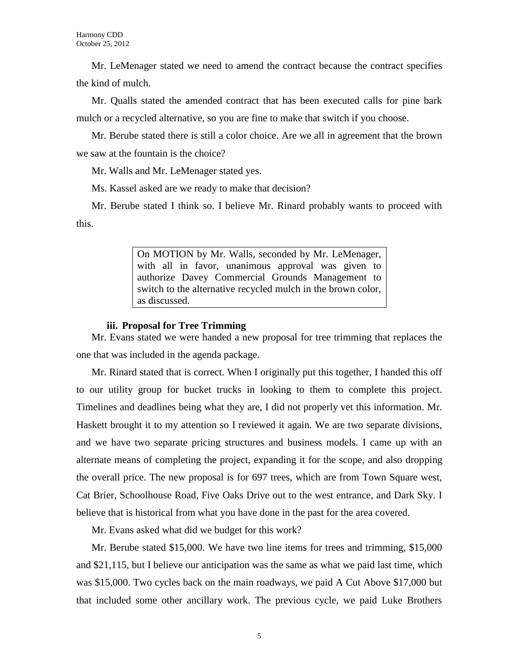Mr. LeMenager stated we need to amend the contract because the contract specifies the kind of mulch.

Mr. Qualls stated the amended contract that has been executed calls for pine bark mulch or a recycled alternative, so you are fine to make that switch if you choose.

Mr. Berube stated there is still a color choice. Are we all in agreement that the brown we saw at the fountain is the choice?

Mr. Walls and Mr. LeMenager stated yes.

Ms. Kassel asked are we ready to make that decision?

Mr. Berube stated I think so. I believe Mr. Rinard probably wants to proceed with this.

> On MOTION by Mr. Walls, seconded by Mr. LeMenager, with all in favor, unanimous approval was given to authorize Davey Commercial Grounds Management to switch to the alternative recycled mulch in the brown color, as discussed.

# **iii. Proposal for Tree Trimming**

Mr. Evans stated we were handed a new proposal for tree trimming that replaces the one that was included in the agenda package.

Mr. Rinard stated that is correct. When I originally put this together, I handed this off to our utility group for bucket trucks in looking to them to complete this project. Timelines and deadlines being what they are, I did not properly vet this information. Mr. Haskett brought it to my attention so I reviewed it again. We are two separate divisions, and we have two separate pricing structures and business models. I came up with an alternate means of completing the project, expanding it for the scope, and also dropping the overall price. The new proposal is for 697 trees, which are from Town Square west, Cat Brier, Schoolhouse Road, Five Oaks Drive out to the west entrance, and Dark Sky. I believe that is historical from what you have done in the past for the area covered.

Mr. Evans asked what did we budget for this work?

Mr. Berube stated \$15,000. We have two line items for trees and trimming, \$15,000 and \$21,115, but I believe our anticipation was the same as what we paid last time, which was \$15,000. Two cycles back on the main roadways, we paid A Cut Above \$17,000 but that included some other ancillary work. The previous cycle, we paid Luke Brothers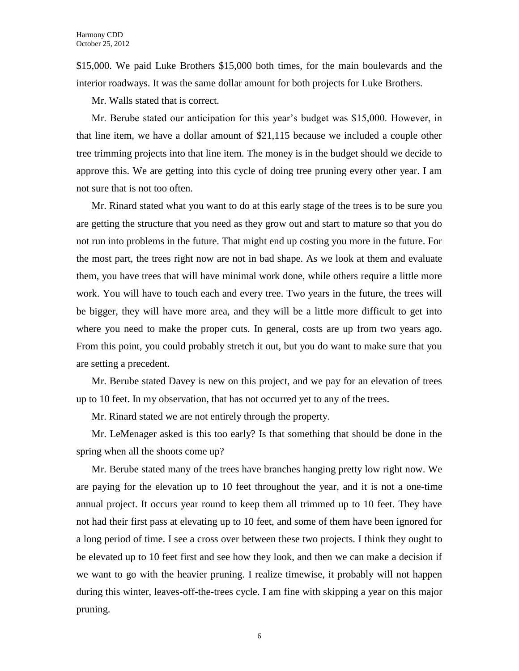\$15,000. We paid Luke Brothers \$15,000 both times, for the main boulevards and the interior roadways. It was the same dollar amount for both projects for Luke Brothers.

Mr. Walls stated that is correct.

Mr. Berube stated our anticipation for this year's budget was \$15,000. However, in that line item, we have a dollar amount of \$21,115 because we included a couple other tree trimming projects into that line item. The money is in the budget should we decide to approve this. We are getting into this cycle of doing tree pruning every other year. I am not sure that is not too often.

Mr. Rinard stated what you want to do at this early stage of the trees is to be sure you are getting the structure that you need as they grow out and start to mature so that you do not run into problems in the future. That might end up costing you more in the future. For the most part, the trees right now are not in bad shape. As we look at them and evaluate them, you have trees that will have minimal work done, while others require a little more work. You will have to touch each and every tree. Two years in the future, the trees will be bigger, they will have more area, and they will be a little more difficult to get into where you need to make the proper cuts. In general, costs are up from two years ago. From this point, you could probably stretch it out, but you do want to make sure that you are setting a precedent.

Mr. Berube stated Davey is new on this project, and we pay for an elevation of trees up to 10 feet. In my observation, that has not occurred yet to any of the trees.

Mr. Rinard stated we are not entirely through the property.

Mr. LeMenager asked is this too early? Is that something that should be done in the spring when all the shoots come up?

Mr. Berube stated many of the trees have branches hanging pretty low right now. We are paying for the elevation up to 10 feet throughout the year, and it is not a one-time annual project. It occurs year round to keep them all trimmed up to 10 feet. They have not had their first pass at elevating up to 10 feet, and some of them have been ignored for a long period of time. I see a cross over between these two projects. I think they ought to be elevated up to 10 feet first and see how they look, and then we can make a decision if we want to go with the heavier pruning. I realize timewise, it probably will not happen during this winter, leaves-off-the-trees cycle. I am fine with skipping a year on this major pruning.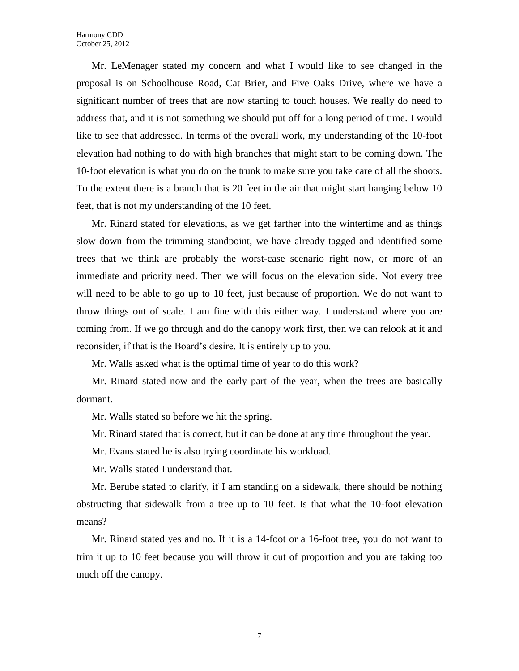Mr. LeMenager stated my concern and what I would like to see changed in the proposal is on Schoolhouse Road, Cat Brier, and Five Oaks Drive, where we have a significant number of trees that are now starting to touch houses. We really do need to address that, and it is not something we should put off for a long period of time. I would like to see that addressed. In terms of the overall work, my understanding of the 10-foot elevation had nothing to do with high branches that might start to be coming down. The 10-foot elevation is what you do on the trunk to make sure you take care of all the shoots. To the extent there is a branch that is 20 feet in the air that might start hanging below 10 feet, that is not my understanding of the 10 feet.

Mr. Rinard stated for elevations, as we get farther into the wintertime and as things slow down from the trimming standpoint, we have already tagged and identified some trees that we think are probably the worst-case scenario right now, or more of an immediate and priority need. Then we will focus on the elevation side. Not every tree will need to be able to go up to 10 feet, just because of proportion. We do not want to throw things out of scale. I am fine with this either way. I understand where you are coming from. If we go through and do the canopy work first, then we can relook at it and reconsider, if that is the Board's desire. It is entirely up to you.

Mr. Walls asked what is the optimal time of year to do this work?

Mr. Rinard stated now and the early part of the year, when the trees are basically dormant.

Mr. Walls stated so before we hit the spring.

Mr. Rinard stated that is correct, but it can be done at any time throughout the year.

Mr. Evans stated he is also trying coordinate his workload.

Mr. Walls stated I understand that.

Mr. Berube stated to clarify, if I am standing on a sidewalk, there should be nothing obstructing that sidewalk from a tree up to 10 feet. Is that what the 10-foot elevation means?

Mr. Rinard stated yes and no. If it is a 14-foot or a 16-foot tree, you do not want to trim it up to 10 feet because you will throw it out of proportion and you are taking too much off the canopy.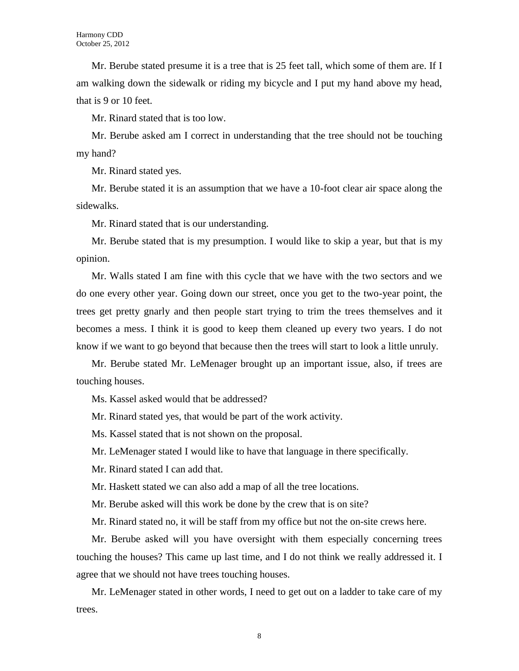Mr. Berube stated presume it is a tree that is 25 feet tall, which some of them are. If I am walking down the sidewalk or riding my bicycle and I put my hand above my head, that is 9 or 10 feet.

Mr. Rinard stated that is too low.

Mr. Berube asked am I correct in understanding that the tree should not be touching my hand?

Mr. Rinard stated yes.

Mr. Berube stated it is an assumption that we have a 10-foot clear air space along the sidewalks.

Mr. Rinard stated that is our understanding.

Mr. Berube stated that is my presumption. I would like to skip a year, but that is my opinion.

Mr. Walls stated I am fine with this cycle that we have with the two sectors and we do one every other year. Going down our street, once you get to the two-year point, the trees get pretty gnarly and then people start trying to trim the trees themselves and it becomes a mess. I think it is good to keep them cleaned up every two years. I do not know if we want to go beyond that because then the trees will start to look a little unruly.

Mr. Berube stated Mr. LeMenager brought up an important issue, also, if trees are touching houses.

Ms. Kassel asked would that be addressed?

Mr. Rinard stated yes, that would be part of the work activity.

Ms. Kassel stated that is not shown on the proposal.

Mr. LeMenager stated I would like to have that language in there specifically.

Mr. Rinard stated I can add that.

Mr. Haskett stated we can also add a map of all the tree locations.

Mr. Berube asked will this work be done by the crew that is on site?

Mr. Rinard stated no, it will be staff from my office but not the on-site crews here.

Mr. Berube asked will you have oversight with them especially concerning trees touching the houses? This came up last time, and I do not think we really addressed it. I agree that we should not have trees touching houses.

Mr. LeMenager stated in other words, I need to get out on a ladder to take care of my trees.

8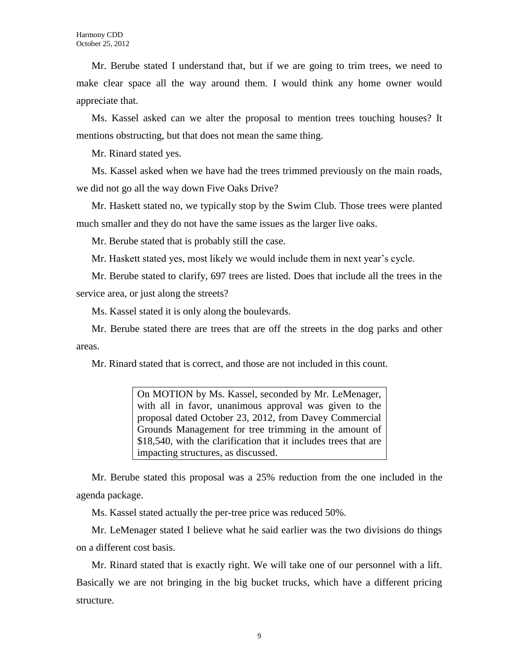Mr. Berube stated I understand that, but if we are going to trim trees, we need to make clear space all the way around them. I would think any home owner would appreciate that.

Ms. Kassel asked can we alter the proposal to mention trees touching houses? It mentions obstructing, but that does not mean the same thing.

Mr. Rinard stated yes.

Ms. Kassel asked when we have had the trees trimmed previously on the main roads, we did not go all the way down Five Oaks Drive?

Mr. Haskett stated no, we typically stop by the Swim Club. Those trees were planted much smaller and they do not have the same issues as the larger live oaks.

Mr. Berube stated that is probably still the case.

Mr. Haskett stated yes, most likely we would include them in next year's cycle.

Mr. Berube stated to clarify, 697 trees are listed. Does that include all the trees in the service area, or just along the streets?

Ms. Kassel stated it is only along the boulevards.

Mr. Berube stated there are trees that are off the streets in the dog parks and other areas.

Mr. Rinard stated that is correct, and those are not included in this count.

On MOTION by Ms. Kassel, seconded by Mr. LeMenager, with all in favor, unanimous approval was given to the proposal dated October 23, 2012, from Davey Commercial Grounds Management for tree trimming in the amount of \$18,540, with the clarification that it includes trees that are impacting structures, as discussed.

Mr. Berube stated this proposal was a 25% reduction from the one included in the agenda package.

Ms. Kassel stated actually the per-tree price was reduced 50%.

Mr. LeMenager stated I believe what he said earlier was the two divisions do things on a different cost basis.

Mr. Rinard stated that is exactly right. We will take one of our personnel with a lift. Basically we are not bringing in the big bucket trucks, which have a different pricing structure.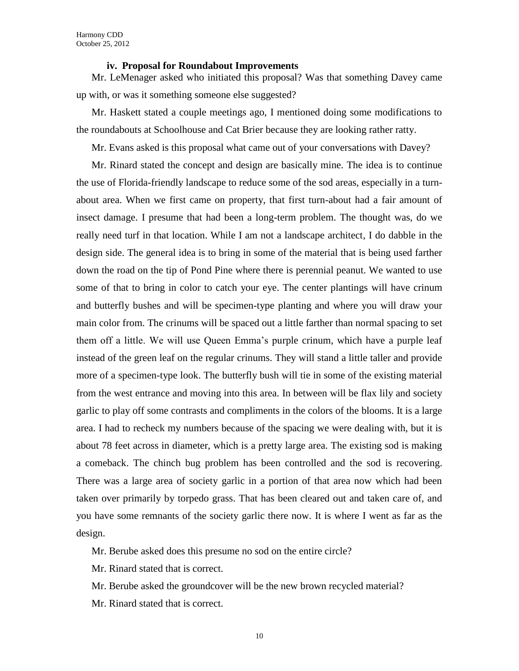## **iv. Proposal for Roundabout Improvements**

Mr. LeMenager asked who initiated this proposal? Was that something Davey came up with, or was it something someone else suggested?

Mr. Haskett stated a couple meetings ago, I mentioned doing some modifications to the roundabouts at Schoolhouse and Cat Brier because they are looking rather ratty.

Mr. Evans asked is this proposal what came out of your conversations with Davey?

Mr. Rinard stated the concept and design are basically mine. The idea is to continue the use of Florida-friendly landscape to reduce some of the sod areas, especially in a turnabout area. When we first came on property, that first turn-about had a fair amount of insect damage. I presume that had been a long-term problem. The thought was, do we really need turf in that location. While I am not a landscape architect, I do dabble in the design side. The general idea is to bring in some of the material that is being used farther down the road on the tip of Pond Pine where there is perennial peanut. We wanted to use some of that to bring in color to catch your eye. The center plantings will have crinum and butterfly bushes and will be specimen-type planting and where you will draw your main color from. The crinums will be spaced out a little farther than normal spacing to set them off a little. We will use Queen Emma's purple crinum, which have a purple leaf instead of the green leaf on the regular crinums. They will stand a little taller and provide more of a specimen-type look. The butterfly bush will tie in some of the existing material from the west entrance and moving into this area. In between will be flax lily and society garlic to play off some contrasts and compliments in the colors of the blooms. It is a large area. I had to recheck my numbers because of the spacing we were dealing with, but it is about 78 feet across in diameter, which is a pretty large area. The existing sod is making a comeback. The chinch bug problem has been controlled and the sod is recovering. There was a large area of society garlic in a portion of that area now which had been taken over primarily by torpedo grass. That has been cleared out and taken care of, and you have some remnants of the society garlic there now. It is where I went as far as the design.

Mr. Berube asked does this presume no sod on the entire circle?

Mr. Rinard stated that is correct.

Mr. Berube asked the groundcover will be the new brown recycled material?

Mr. Rinard stated that is correct.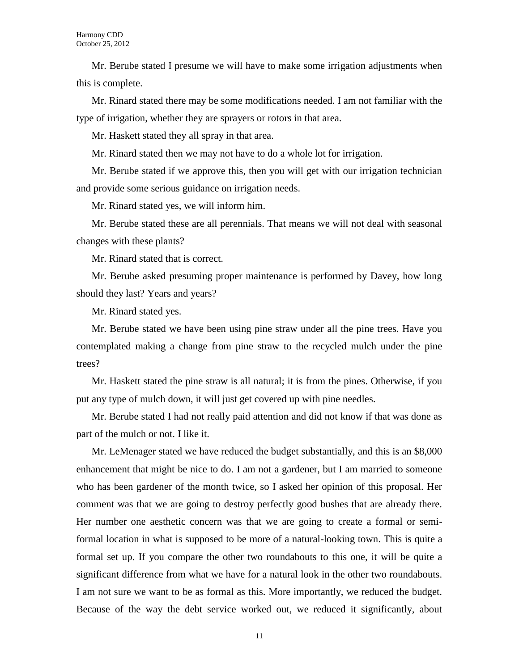Mr. Berube stated I presume we will have to make some irrigation adjustments when this is complete.

Mr. Rinard stated there may be some modifications needed. I am not familiar with the type of irrigation, whether they are sprayers or rotors in that area.

Mr. Haskett stated they all spray in that area.

Mr. Rinard stated then we may not have to do a whole lot for irrigation.

Mr. Berube stated if we approve this, then you will get with our irrigation technician and provide some serious guidance on irrigation needs.

Mr. Rinard stated yes, we will inform him.

Mr. Berube stated these are all perennials. That means we will not deal with seasonal changes with these plants?

Mr. Rinard stated that is correct.

Mr. Berube asked presuming proper maintenance is performed by Davey, how long should they last? Years and years?

Mr. Rinard stated yes.

Mr. Berube stated we have been using pine straw under all the pine trees. Have you contemplated making a change from pine straw to the recycled mulch under the pine trees?

Mr. Haskett stated the pine straw is all natural; it is from the pines. Otherwise, if you put any type of mulch down, it will just get covered up with pine needles.

Mr. Berube stated I had not really paid attention and did not know if that was done as part of the mulch or not. I like it.

Mr. LeMenager stated we have reduced the budget substantially, and this is an \$8,000 enhancement that might be nice to do. I am not a gardener, but I am married to someone who has been gardener of the month twice, so I asked her opinion of this proposal. Her comment was that we are going to destroy perfectly good bushes that are already there. Her number one aesthetic concern was that we are going to create a formal or semiformal location in what is supposed to be more of a natural-looking town. This is quite a formal set up. If you compare the other two roundabouts to this one, it will be quite a significant difference from what we have for a natural look in the other two roundabouts. I am not sure we want to be as formal as this. More importantly, we reduced the budget. Because of the way the debt service worked out, we reduced it significantly, about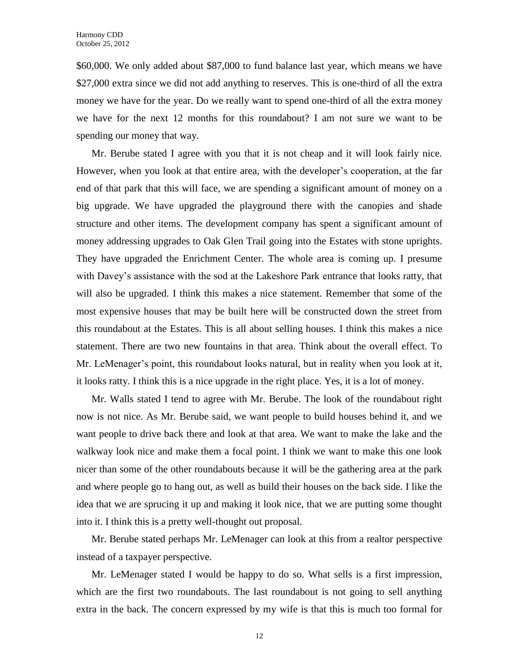\$60,000. We only added about \$87,000 to fund balance last year, which means we have \$27,000 extra since we did not add anything to reserves. This is one-third of all the extra money we have for the year. Do we really want to spend one-third of all the extra money we have for the next 12 months for this roundabout? I am not sure we want to be spending our money that way.

Mr. Berube stated I agree with you that it is not cheap and it will look fairly nice. However, when you look at that entire area, with the developer's cooperation, at the far end of that park that this will face, we are spending a significant amount of money on a big upgrade. We have upgraded the playground there with the canopies and shade structure and other items. The development company has spent a significant amount of money addressing upgrades to Oak Glen Trail going into the Estates with stone uprights. They have upgraded the Enrichment Center. The whole area is coming up. I presume with Davey's assistance with the sod at the Lakeshore Park entrance that looks ratty, that will also be upgraded. I think this makes a nice statement. Remember that some of the most expensive houses that may be built here will be constructed down the street from this roundabout at the Estates. This is all about selling houses. I think this makes a nice statement. There are two new fountains in that area. Think about the overall effect. To Mr. LeMenager's point, this roundabout looks natural, but in reality when you look at it, it looks ratty. I think this is a nice upgrade in the right place. Yes, it is a lot of money.

Mr. Walls stated I tend to agree with Mr. Berube. The look of the roundabout right now is not nice. As Mr. Berube said, we want people to build houses behind it, and we want people to drive back there and look at that area. We want to make the lake and the walkway look nice and make them a focal point. I think we want to make this one look nicer than some of the other roundabouts because it will be the gathering area at the park and where people go to hang out, as well as build their houses on the back side. I like the idea that we are sprucing it up and making it look nice, that we are putting some thought into it. I think this is a pretty well-thought out proposal.

Mr. Berube stated perhaps Mr. LeMenager can look at this from a realtor perspective instead of a taxpayer perspective.

Mr. LeMenager stated I would be happy to do so. What sells is a first impression, which are the first two roundabouts. The last roundabout is not going to sell anything extra in the back. The concern expressed by my wife is that this is much too formal for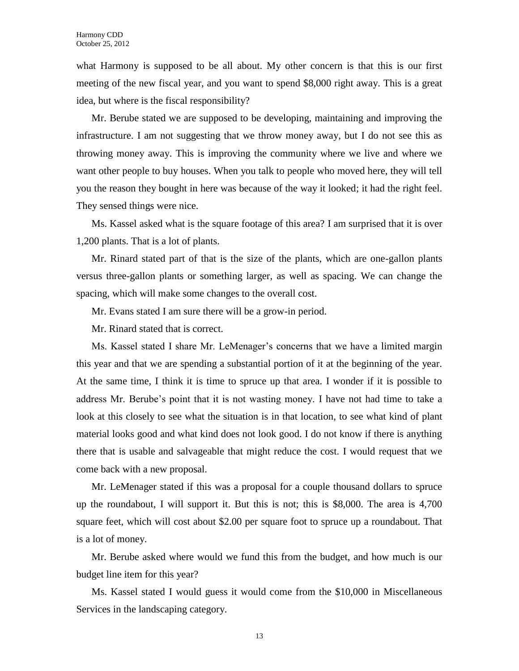what Harmony is supposed to be all about. My other concern is that this is our first meeting of the new fiscal year, and you want to spend \$8,000 right away. This is a great idea, but where is the fiscal responsibility?

Mr. Berube stated we are supposed to be developing, maintaining and improving the infrastructure. I am not suggesting that we throw money away, but I do not see this as throwing money away. This is improving the community where we live and where we want other people to buy houses. When you talk to people who moved here, they will tell you the reason they bought in here was because of the way it looked; it had the right feel. They sensed things were nice.

Ms. Kassel asked what is the square footage of this area? I am surprised that it is over 1,200 plants. That is a lot of plants.

Mr. Rinard stated part of that is the size of the plants, which are one-gallon plants versus three-gallon plants or something larger, as well as spacing. We can change the spacing, which will make some changes to the overall cost.

Mr. Evans stated I am sure there will be a grow-in period.

Mr. Rinard stated that is correct.

Ms. Kassel stated I share Mr. LeMenager's concerns that we have a limited margin this year and that we are spending a substantial portion of it at the beginning of the year. At the same time, I think it is time to spruce up that area. I wonder if it is possible to address Mr. Berube's point that it is not wasting money. I have not had time to take a look at this closely to see what the situation is in that location, to see what kind of plant material looks good and what kind does not look good. I do not know if there is anything there that is usable and salvageable that might reduce the cost. I would request that we come back with a new proposal.

Mr. LeMenager stated if this was a proposal for a couple thousand dollars to spruce up the roundabout, I will support it. But this is not; this is \$8,000. The area is 4,700 square feet, which will cost about \$2.00 per square foot to spruce up a roundabout. That is a lot of money.

Mr. Berube asked where would we fund this from the budget, and how much is our budget line item for this year?

Ms. Kassel stated I would guess it would come from the \$10,000 in Miscellaneous Services in the landscaping category.

13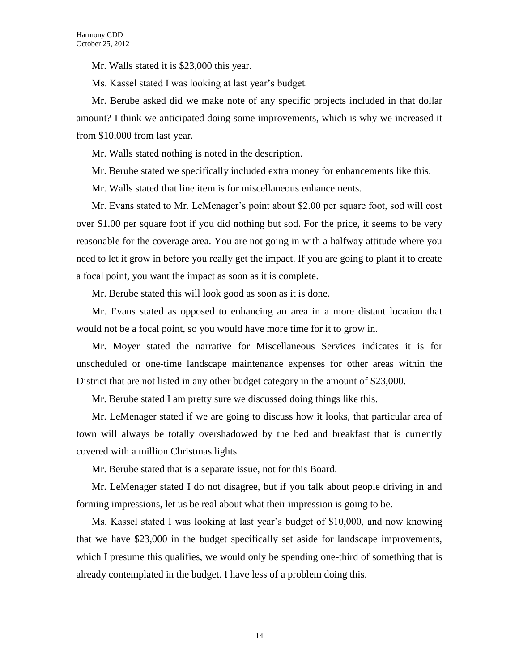Mr. Walls stated it is \$23,000 this year.

Ms. Kassel stated I was looking at last year's budget.

Mr. Berube asked did we make note of any specific projects included in that dollar amount? I think we anticipated doing some improvements, which is why we increased it from \$10,000 from last year.

Mr. Walls stated nothing is noted in the description.

Mr. Berube stated we specifically included extra money for enhancements like this.

Mr. Walls stated that line item is for miscellaneous enhancements.

Mr. Evans stated to Mr. LeMenager's point about \$2.00 per square foot, sod will cost over \$1.00 per square foot if you did nothing but sod. For the price, it seems to be very reasonable for the coverage area. You are not going in with a halfway attitude where you need to let it grow in before you really get the impact. If you are going to plant it to create a focal point, you want the impact as soon as it is complete.

Mr. Berube stated this will look good as soon as it is done.

Mr. Evans stated as opposed to enhancing an area in a more distant location that would not be a focal point, so you would have more time for it to grow in.

Mr. Moyer stated the narrative for Miscellaneous Services indicates it is for unscheduled or one-time landscape maintenance expenses for other areas within the District that are not listed in any other budget category in the amount of \$23,000.

Mr. Berube stated I am pretty sure we discussed doing things like this.

Mr. LeMenager stated if we are going to discuss how it looks, that particular area of town will always be totally overshadowed by the bed and breakfast that is currently covered with a million Christmas lights.

Mr. Berube stated that is a separate issue, not for this Board.

Mr. LeMenager stated I do not disagree, but if you talk about people driving in and forming impressions, let us be real about what their impression is going to be.

Ms. Kassel stated I was looking at last year's budget of \$10,000, and now knowing that we have \$23,000 in the budget specifically set aside for landscape improvements, which I presume this qualifies, we would only be spending one-third of something that is already contemplated in the budget. I have less of a problem doing this.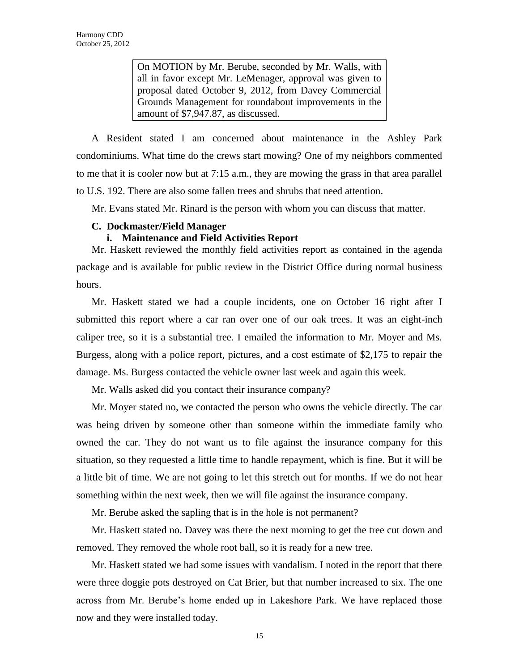On MOTION by Mr. Berube, seconded by Mr. Walls, with all in favor except Mr. LeMenager, approval was given to proposal dated October 9, 2012, from Davey Commercial Grounds Management for roundabout improvements in the amount of \$7,947.87, as discussed.

A Resident stated I am concerned about maintenance in the Ashley Park condominiums. What time do the crews start mowing? One of my neighbors commented to me that it is cooler now but at 7:15 a.m., they are mowing the grass in that area parallel to U.S. 192. There are also some fallen trees and shrubs that need attention.

Mr. Evans stated Mr. Rinard is the person with whom you can discuss that matter.

# **C. Dockmaster/Field Manager**

# **i. Maintenance and Field Activities Report**

Mr. Haskett reviewed the monthly field activities report as contained in the agenda package and is available for public review in the District Office during normal business hours.

Mr. Haskett stated we had a couple incidents, one on October 16 right after I submitted this report where a car ran over one of our oak trees. It was an eight-inch caliper tree, so it is a substantial tree. I emailed the information to Mr. Moyer and Ms. Burgess, along with a police report, pictures, and a cost estimate of \$2,175 to repair the damage. Ms. Burgess contacted the vehicle owner last week and again this week.

Mr. Walls asked did you contact their insurance company?

Mr. Moyer stated no, we contacted the person who owns the vehicle directly. The car was being driven by someone other than someone within the immediate family who owned the car. They do not want us to file against the insurance company for this situation, so they requested a little time to handle repayment, which is fine. But it will be a little bit of time. We are not going to let this stretch out for months. If we do not hear something within the next week, then we will file against the insurance company.

Mr. Berube asked the sapling that is in the hole is not permanent?

Mr. Haskett stated no. Davey was there the next morning to get the tree cut down and removed. They removed the whole root ball, so it is ready for a new tree.

Mr. Haskett stated we had some issues with vandalism. I noted in the report that there were three doggie pots destroyed on Cat Brier, but that number increased to six. The one across from Mr. Berube's home ended up in Lakeshore Park. We have replaced those now and they were installed today.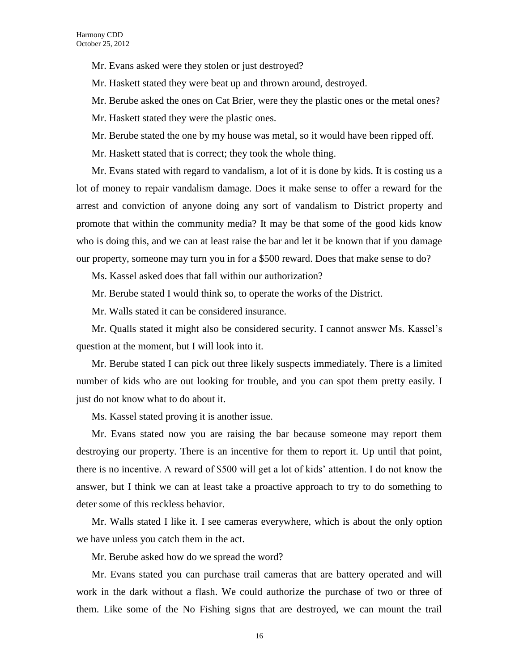Mr. Evans asked were they stolen or just destroyed?

Mr. Haskett stated they were beat up and thrown around, destroyed.

Mr. Berube asked the ones on Cat Brier, were they the plastic ones or the metal ones?

Mr. Haskett stated they were the plastic ones.

Mr. Berube stated the one by my house was metal, so it would have been ripped off.

Mr. Haskett stated that is correct; they took the whole thing.

Mr. Evans stated with regard to vandalism, a lot of it is done by kids. It is costing us a lot of money to repair vandalism damage. Does it make sense to offer a reward for the arrest and conviction of anyone doing any sort of vandalism to District property and promote that within the community media? It may be that some of the good kids know who is doing this, and we can at least raise the bar and let it be known that if you damage our property, someone may turn you in for a \$500 reward. Does that make sense to do?

Ms. Kassel asked does that fall within our authorization?

Mr. Berube stated I would think so, to operate the works of the District.

Mr. Walls stated it can be considered insurance.

Mr. Qualls stated it might also be considered security. I cannot answer Ms. Kassel's question at the moment, but I will look into it.

Mr. Berube stated I can pick out three likely suspects immediately. There is a limited number of kids who are out looking for trouble, and you can spot them pretty easily. I just do not know what to do about it.

Ms. Kassel stated proving it is another issue.

Mr. Evans stated now you are raising the bar because someone may report them destroying our property. There is an incentive for them to report it. Up until that point, there is no incentive. A reward of \$500 will get a lot of kids' attention. I do not know the answer, but I think we can at least take a proactive approach to try to do something to deter some of this reckless behavior.

Mr. Walls stated I like it. I see cameras everywhere, which is about the only option we have unless you catch them in the act.

Mr. Berube asked how do we spread the word?

Mr. Evans stated you can purchase trail cameras that are battery operated and will work in the dark without a flash. We could authorize the purchase of two or three of them. Like some of the No Fishing signs that are destroyed, we can mount the trail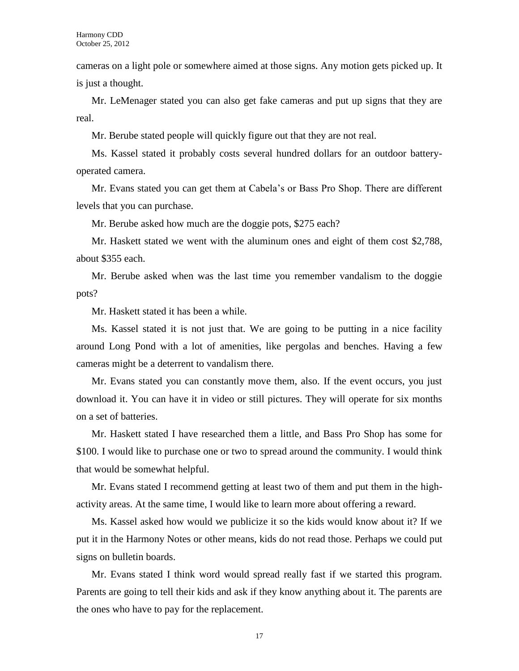cameras on a light pole or somewhere aimed at those signs. Any motion gets picked up. It is just a thought.

Mr. LeMenager stated you can also get fake cameras and put up signs that they are real.

Mr. Berube stated people will quickly figure out that they are not real.

Ms. Kassel stated it probably costs several hundred dollars for an outdoor batteryoperated camera.

Mr. Evans stated you can get them at Cabela's or Bass Pro Shop. There are different levels that you can purchase.

Mr. Berube asked how much are the doggie pots, \$275 each?

Mr. Haskett stated we went with the aluminum ones and eight of them cost \$2,788, about \$355 each.

Mr. Berube asked when was the last time you remember vandalism to the doggie pots?

Mr. Haskett stated it has been a while.

Ms. Kassel stated it is not just that. We are going to be putting in a nice facility around Long Pond with a lot of amenities, like pergolas and benches. Having a few cameras might be a deterrent to vandalism there.

Mr. Evans stated you can constantly move them, also. If the event occurs, you just download it. You can have it in video or still pictures. They will operate for six months on a set of batteries.

Mr. Haskett stated I have researched them a little, and Bass Pro Shop has some for \$100. I would like to purchase one or two to spread around the community. I would think that would be somewhat helpful.

Mr. Evans stated I recommend getting at least two of them and put them in the highactivity areas. At the same time, I would like to learn more about offering a reward.

Ms. Kassel asked how would we publicize it so the kids would know about it? If we put it in the Harmony Notes or other means, kids do not read those. Perhaps we could put signs on bulletin boards.

Mr. Evans stated I think word would spread really fast if we started this program. Parents are going to tell their kids and ask if they know anything about it. The parents are the ones who have to pay for the replacement.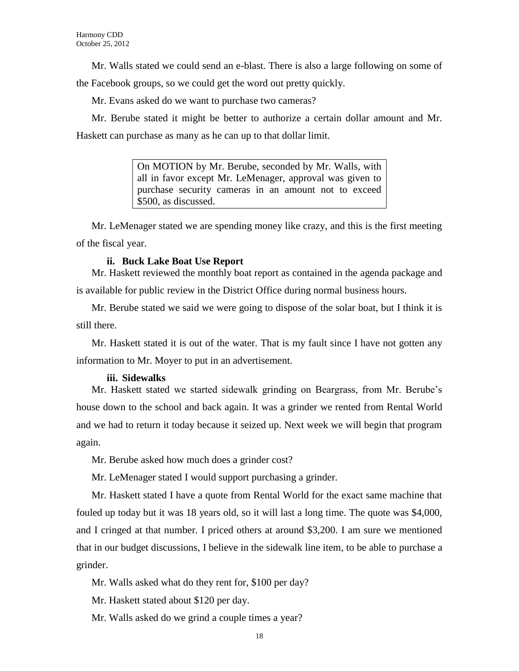Mr. Walls stated we could send an e-blast. There is also a large following on some of the Facebook groups, so we could get the word out pretty quickly.

Mr. Evans asked do we want to purchase two cameras?

Mr. Berube stated it might be better to authorize a certain dollar amount and Mr. Haskett can purchase as many as he can up to that dollar limit.

> On MOTION by Mr. Berube, seconded by Mr. Walls, with all in favor except Mr. LeMenager, approval was given to purchase security cameras in an amount not to exceed \$500, as discussed.

Mr. LeMenager stated we are spending money like crazy, and this is the first meeting of the fiscal year.

# **ii. Buck Lake Boat Use Report**

Mr. Haskett reviewed the monthly boat report as contained in the agenda package and is available for public review in the District Office during normal business hours.

Mr. Berube stated we said we were going to dispose of the solar boat, but I think it is still there.

Mr. Haskett stated it is out of the water. That is my fault since I have not gotten any information to Mr. Moyer to put in an advertisement.

## **iii. Sidewalks**

Mr. Haskett stated we started sidewalk grinding on Beargrass, from Mr. Berube's house down to the school and back again. It was a grinder we rented from Rental World and we had to return it today because it seized up. Next week we will begin that program again.

Mr. Berube asked how much does a grinder cost?

Mr. LeMenager stated I would support purchasing a grinder.

Mr. Haskett stated I have a quote from Rental World for the exact same machine that fouled up today but it was 18 years old, so it will last a long time. The quote was \$4,000, and I cringed at that number. I priced others at around \$3,200. I am sure we mentioned that in our budget discussions, I believe in the sidewalk line item, to be able to purchase a grinder.

Mr. Walls asked what do they rent for, \$100 per day?

Mr. Haskett stated about \$120 per day.

Mr. Walls asked do we grind a couple times a year?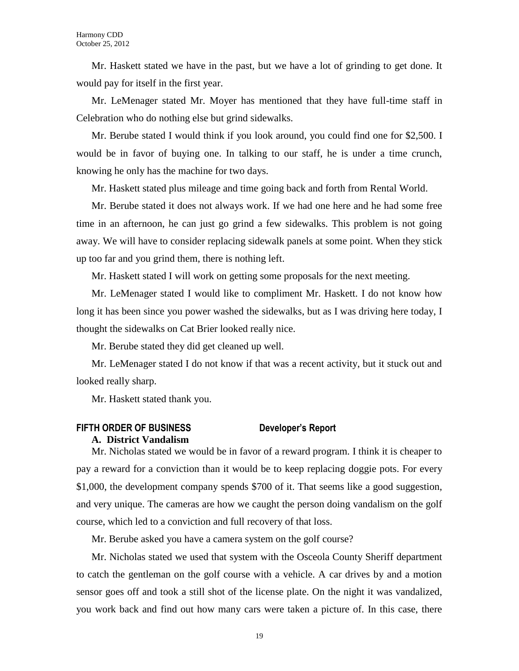Mr. Haskett stated we have in the past, but we have a lot of grinding to get done. It would pay for itself in the first year.

Mr. LeMenager stated Mr. Moyer has mentioned that they have full-time staff in Celebration who do nothing else but grind sidewalks.

Mr. Berube stated I would think if you look around, you could find one for \$2,500. I would be in favor of buying one. In talking to our staff, he is under a time crunch, knowing he only has the machine for two days.

Mr. Haskett stated plus mileage and time going back and forth from Rental World.

Mr. Berube stated it does not always work. If we had one here and he had some free time in an afternoon, he can just go grind a few sidewalks. This problem is not going away. We will have to consider replacing sidewalk panels at some point. When they stick up too far and you grind them, there is nothing left.

Mr. Haskett stated I will work on getting some proposals for the next meeting.

Mr. LeMenager stated I would like to compliment Mr. Haskett. I do not know how long it has been since you power washed the sidewalks, but as I was driving here today, I thought the sidewalks on Cat Brier looked really nice.

Mr. Berube stated they did get cleaned up well.

Mr. LeMenager stated I do not know if that was a recent activity, but it stuck out and looked really sharp.

Mr. Haskett stated thank you.

# **FIFTH ORDER OF BUSINESS Developer's Report**

### **A. District Vandalism**

Mr. Nicholas stated we would be in favor of a reward program. I think it is cheaper to pay a reward for a conviction than it would be to keep replacing doggie pots. For every \$1,000, the development company spends \$700 of it. That seems like a good suggestion, and very unique. The cameras are how we caught the person doing vandalism on the golf course, which led to a conviction and full recovery of that loss.

Mr. Berube asked you have a camera system on the golf course?

Mr. Nicholas stated we used that system with the Osceola County Sheriff department to catch the gentleman on the golf course with a vehicle. A car drives by and a motion sensor goes off and took a still shot of the license plate. On the night it was vandalized, you work back and find out how many cars were taken a picture of. In this case, there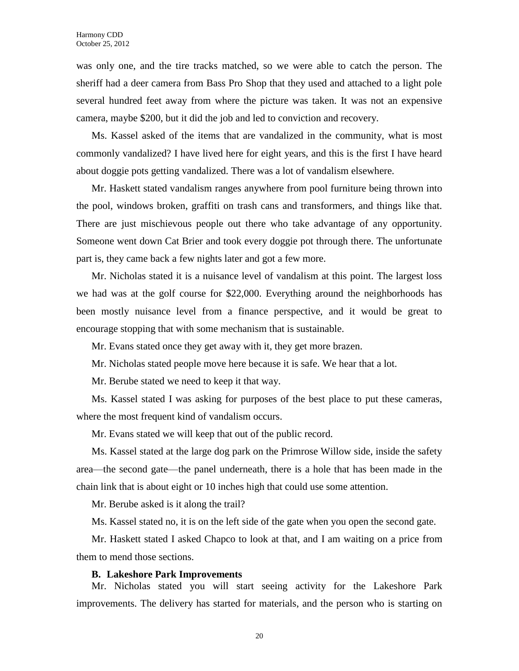was only one, and the tire tracks matched, so we were able to catch the person. The sheriff had a deer camera from Bass Pro Shop that they used and attached to a light pole several hundred feet away from where the picture was taken. It was not an expensive camera, maybe \$200, but it did the job and led to conviction and recovery.

Ms. Kassel asked of the items that are vandalized in the community, what is most commonly vandalized? I have lived here for eight years, and this is the first I have heard about doggie pots getting vandalized. There was a lot of vandalism elsewhere.

Mr. Haskett stated vandalism ranges anywhere from pool furniture being thrown into the pool, windows broken, graffiti on trash cans and transformers, and things like that. There are just mischievous people out there who take advantage of any opportunity. Someone went down Cat Brier and took every doggie pot through there. The unfortunate part is, they came back a few nights later and got a few more.

Mr. Nicholas stated it is a nuisance level of vandalism at this point. The largest loss we had was at the golf course for \$22,000. Everything around the neighborhoods has been mostly nuisance level from a finance perspective, and it would be great to encourage stopping that with some mechanism that is sustainable.

Mr. Evans stated once they get away with it, they get more brazen.

Mr. Nicholas stated people move here because it is safe. We hear that a lot.

Mr. Berube stated we need to keep it that way.

Ms. Kassel stated I was asking for purposes of the best place to put these cameras, where the most frequent kind of vandalism occurs.

Mr. Evans stated we will keep that out of the public record.

Ms. Kassel stated at the large dog park on the Primrose Willow side, inside the safety area—the second gate—the panel underneath, there is a hole that has been made in the chain link that is about eight or 10 inches high that could use some attention.

Mr. Berube asked is it along the trail?

Ms. Kassel stated no, it is on the left side of the gate when you open the second gate.

Mr. Haskett stated I asked Chapco to look at that, and I am waiting on a price from them to mend those sections.

## **B. Lakeshore Park Improvements**

Mr. Nicholas stated you will start seeing activity for the Lakeshore Park improvements. The delivery has started for materials, and the person who is starting on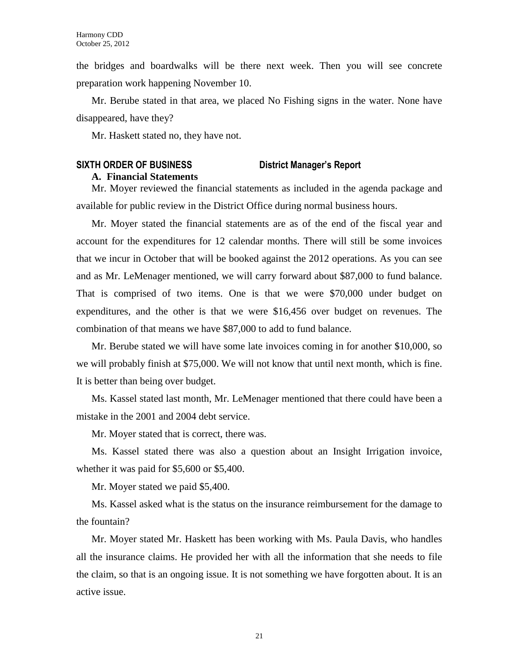the bridges and boardwalks will be there next week. Then you will see concrete preparation work happening November 10.

Mr. Berube stated in that area, we placed No Fishing signs in the water. None have disappeared, have they?

Mr. Haskett stated no, they have not.

# **SIXTH ORDER OF BUSINESS District Manager's Report**

# **A. Financial Statements**

Mr. Moyer reviewed the financial statements as included in the agenda package and available for public review in the District Office during normal business hours.

Mr. Moyer stated the financial statements are as of the end of the fiscal year and account for the expenditures for 12 calendar months. There will still be some invoices that we incur in October that will be booked against the 2012 operations. As you can see and as Mr. LeMenager mentioned, we will carry forward about \$87,000 to fund balance. That is comprised of two items. One is that we were \$70,000 under budget on expenditures, and the other is that we were \$16,456 over budget on revenues. The combination of that means we have \$87,000 to add to fund balance.

Mr. Berube stated we will have some late invoices coming in for another \$10,000, so we will probably finish at \$75,000. We will not know that until next month, which is fine. It is better than being over budget.

Ms. Kassel stated last month, Mr. LeMenager mentioned that there could have been a mistake in the 2001 and 2004 debt service.

Mr. Moyer stated that is correct, there was.

Ms. Kassel stated there was also a question about an Insight Irrigation invoice, whether it was paid for \$5,600 or \$5,400.

Mr. Moyer stated we paid \$5,400.

Ms. Kassel asked what is the status on the insurance reimbursement for the damage to the fountain?

Mr. Moyer stated Mr. Haskett has been working with Ms. Paula Davis, who handles all the insurance claims. He provided her with all the information that she needs to file the claim, so that is an ongoing issue. It is not something we have forgotten about. It is an active issue.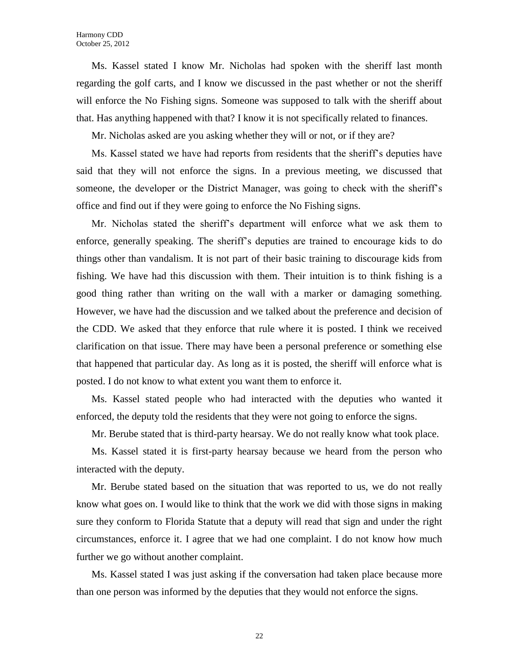Ms. Kassel stated I know Mr. Nicholas had spoken with the sheriff last month regarding the golf carts, and I know we discussed in the past whether or not the sheriff will enforce the No Fishing signs. Someone was supposed to talk with the sheriff about that. Has anything happened with that? I know it is not specifically related to finances.

Mr. Nicholas asked are you asking whether they will or not, or if they are?

Ms. Kassel stated we have had reports from residents that the sheriff's deputies have said that they will not enforce the signs. In a previous meeting, we discussed that someone, the developer or the District Manager, was going to check with the sheriff's office and find out if they were going to enforce the No Fishing signs.

Mr. Nicholas stated the sheriff's department will enforce what we ask them to enforce, generally speaking. The sheriff's deputies are trained to encourage kids to do things other than vandalism. It is not part of their basic training to discourage kids from fishing. We have had this discussion with them. Their intuition is to think fishing is a good thing rather than writing on the wall with a marker or damaging something. However, we have had the discussion and we talked about the preference and decision of the CDD. We asked that they enforce that rule where it is posted. I think we received clarification on that issue. There may have been a personal preference or something else that happened that particular day. As long as it is posted, the sheriff will enforce what is posted. I do not know to what extent you want them to enforce it.

Ms. Kassel stated people who had interacted with the deputies who wanted it enforced, the deputy told the residents that they were not going to enforce the signs.

Mr. Berube stated that is third-party hearsay. We do not really know what took place.

Ms. Kassel stated it is first-party hearsay because we heard from the person who interacted with the deputy.

Mr. Berube stated based on the situation that was reported to us, we do not really know what goes on. I would like to think that the work we did with those signs in making sure they conform to Florida Statute that a deputy will read that sign and under the right circumstances, enforce it. I agree that we had one complaint. I do not know how much further we go without another complaint.

Ms. Kassel stated I was just asking if the conversation had taken place because more than one person was informed by the deputies that they would not enforce the signs.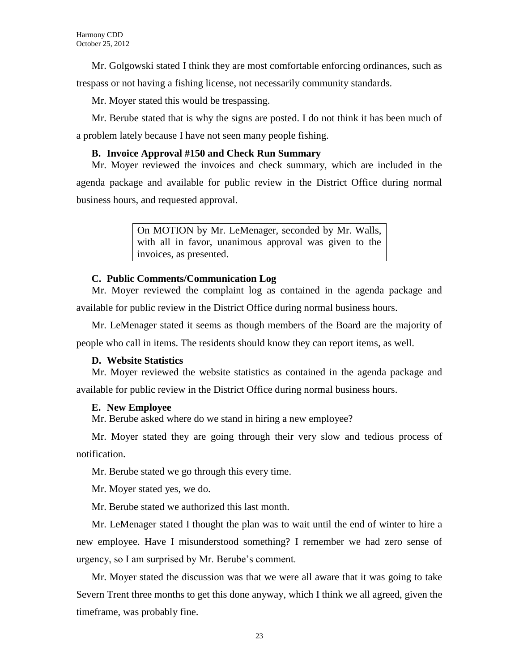Mr. Golgowski stated I think they are most comfortable enforcing ordinances, such as

trespass or not having a fishing license, not necessarily community standards.

Mr. Moyer stated this would be trespassing.

Mr. Berube stated that is why the signs are posted. I do not think it has been much of a problem lately because I have not seen many people fishing.

# **B. Invoice Approval #150 and Check Run Summary**

Mr. Moyer reviewed the invoices and check summary, which are included in the agenda package and available for public review in the District Office during normal business hours, and requested approval.

> On MOTION by Mr. LeMenager, seconded by Mr. Walls, with all in favor, unanimous approval was given to the invoices, as presented.

# **C. Public Comments/Communication Log**

Mr. Moyer reviewed the complaint log as contained in the agenda package and available for public review in the District Office during normal business hours.

Mr. LeMenager stated it seems as though members of the Board are the majority of people who call in items. The residents should know they can report items, as well.

# **D. Website Statistics**

Mr. Moyer reviewed the website statistics as contained in the agenda package and available for public review in the District Office during normal business hours.

# **E. New Employee**

Mr. Berube asked where do we stand in hiring a new employee?

Mr. Moyer stated they are going through their very slow and tedious process of notification.

Mr. Berube stated we go through this every time.

Mr. Moyer stated yes, we do.

Mr. Berube stated we authorized this last month.

Mr. LeMenager stated I thought the plan was to wait until the end of winter to hire a new employee. Have I misunderstood something? I remember we had zero sense of urgency, so I am surprised by Mr. Berube's comment.

Mr. Moyer stated the discussion was that we were all aware that it was going to take Severn Trent three months to get this done anyway, which I think we all agreed, given the timeframe, was probably fine.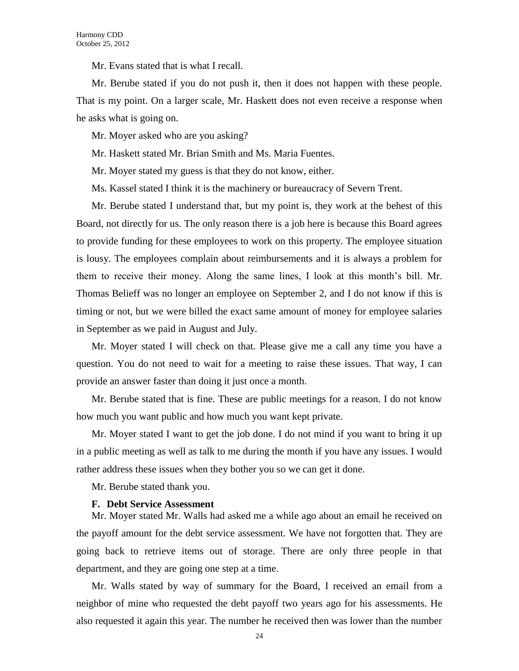Mr. Evans stated that is what I recall.

Mr. Berube stated if you do not push it, then it does not happen with these people. That is my point. On a larger scale, Mr. Haskett does not even receive a response when he asks what is going on.

Mr. Moyer asked who are you asking?

Mr. Haskett stated Mr. Brian Smith and Ms. Maria Fuentes.

Mr. Moyer stated my guess is that they do not know, either.

Ms. Kassel stated I think it is the machinery or bureaucracy of Severn Trent.

Mr. Berube stated I understand that, but my point is, they work at the behest of this Board, not directly for us. The only reason there is a job here is because this Board agrees to provide funding for these employees to work on this property. The employee situation is lousy. The employees complain about reimbursements and it is always a problem for them to receive their money. Along the same lines, I look at this month's bill. Mr. Thomas Belieff was no longer an employee on September 2, and I do not know if this is timing or not, but we were billed the exact same amount of money for employee salaries in September as we paid in August and July.

Mr. Moyer stated I will check on that. Please give me a call any time you have a question. You do not need to wait for a meeting to raise these issues. That way, I can provide an answer faster than doing it just once a month.

Mr. Berube stated that is fine. These are public meetings for a reason. I do not know how much you want public and how much you want kept private.

Mr. Moyer stated I want to get the job done. I do not mind if you want to bring it up in a public meeting as well as talk to me during the month if you have any issues. I would rather address these issues when they bother you so we can get it done.

Mr. Berube stated thank you.

#### **F. Debt Service Assessment**

Mr. Moyer stated Mr. Walls had asked me a while ago about an email he received on the payoff amount for the debt service assessment. We have not forgotten that. They are going back to retrieve items out of storage. There are only three people in that department, and they are going one step at a time.

Mr. Walls stated by way of summary for the Board, I received an email from a neighbor of mine who requested the debt payoff two years ago for his assessments. He also requested it again this year. The number he received then was lower than the number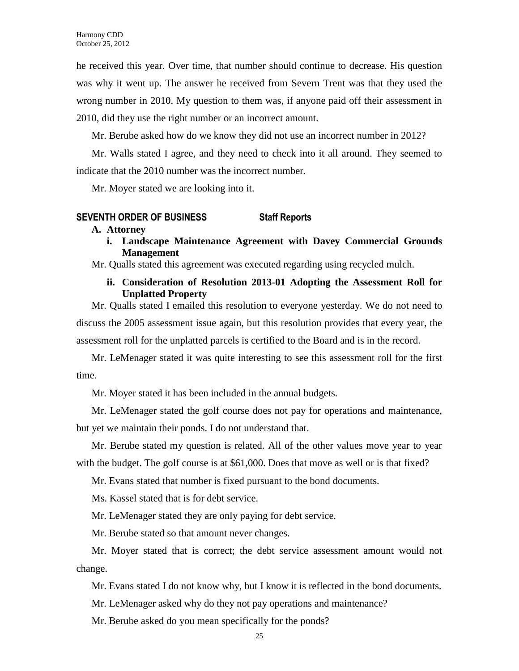he received this year. Over time, that number should continue to decrease. His question was why it went up. The answer he received from Severn Trent was that they used the wrong number in 2010. My question to them was, if anyone paid off their assessment in 2010, did they use the right number or an incorrect amount.

Mr. Berube asked how do we know they did not use an incorrect number in 2012?

Mr. Walls stated I agree, and they need to check into it all around. They seemed to indicate that the 2010 number was the incorrect number.

Mr. Moyer stated we are looking into it.

## **SEVENTH ORDER OF BUSINESS Staff Reports**

### **A. Attorney**

**i. Landscape Maintenance Agreement with Davey Commercial Grounds Management**

Mr. Qualls stated this agreement was executed regarding using recycled mulch.

# **ii. Consideration of Resolution 2013-01 Adopting the Assessment Roll for Unplatted Property**

Mr. Qualls stated I emailed this resolution to everyone yesterday. We do not need to discuss the 2005 assessment issue again, but this resolution provides that every year, the assessment roll for the unplatted parcels is certified to the Board and is in the record.

Mr. LeMenager stated it was quite interesting to see this assessment roll for the first time.

Mr. Moyer stated it has been included in the annual budgets.

Mr. LeMenager stated the golf course does not pay for operations and maintenance, but yet we maintain their ponds. I do not understand that.

Mr. Berube stated my question is related. All of the other values move year to year with the budget. The golf course is at \$61,000. Does that move as well or is that fixed?

Mr. Evans stated that number is fixed pursuant to the bond documents.

Ms. Kassel stated that is for debt service.

Mr. LeMenager stated they are only paying for debt service.

Mr. Berube stated so that amount never changes.

Mr. Moyer stated that is correct; the debt service assessment amount would not change.

Mr. Evans stated I do not know why, but I know it is reflected in the bond documents.

Mr. LeMenager asked why do they not pay operations and maintenance?

Mr. Berube asked do you mean specifically for the ponds?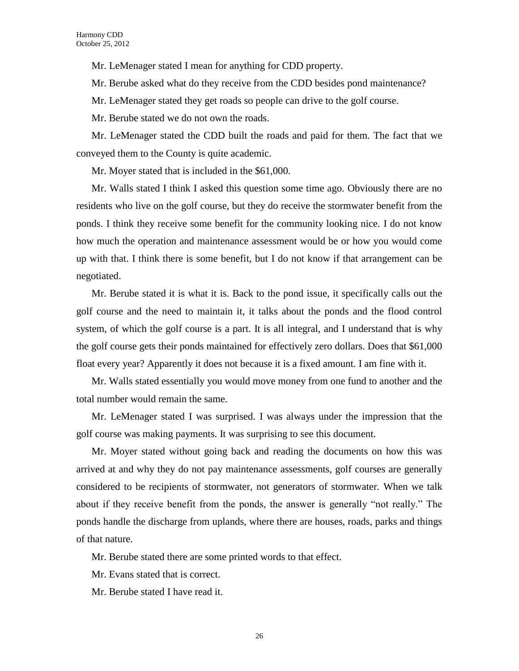Mr. LeMenager stated I mean for anything for CDD property.

Mr. Berube asked what do they receive from the CDD besides pond maintenance?

Mr. LeMenager stated they get roads so people can drive to the golf course.

Mr. Berube stated we do not own the roads.

Mr. LeMenager stated the CDD built the roads and paid for them. The fact that we conveyed them to the County is quite academic.

Mr. Moyer stated that is included in the \$61,000.

Mr. Walls stated I think I asked this question some time ago. Obviously there are no residents who live on the golf course, but they do receive the stormwater benefit from the ponds. I think they receive some benefit for the community looking nice. I do not know how much the operation and maintenance assessment would be or how you would come up with that. I think there is some benefit, but I do not know if that arrangement can be negotiated.

Mr. Berube stated it is what it is. Back to the pond issue, it specifically calls out the golf course and the need to maintain it, it talks about the ponds and the flood control system, of which the golf course is a part. It is all integral, and I understand that is why the golf course gets their ponds maintained for effectively zero dollars. Does that \$61,000 float every year? Apparently it does not because it is a fixed amount. I am fine with it.

Mr. Walls stated essentially you would move money from one fund to another and the total number would remain the same.

Mr. LeMenager stated I was surprised. I was always under the impression that the golf course was making payments. It was surprising to see this document.

Mr. Moyer stated without going back and reading the documents on how this was arrived at and why they do not pay maintenance assessments, golf courses are generally considered to be recipients of stormwater, not generators of stormwater. When we talk about if they receive benefit from the ponds, the answer is generally "not really." The ponds handle the discharge from uplands, where there are houses, roads, parks and things of that nature.

Mr. Berube stated there are some printed words to that effect.

Mr. Evans stated that is correct.

Mr. Berube stated I have read it.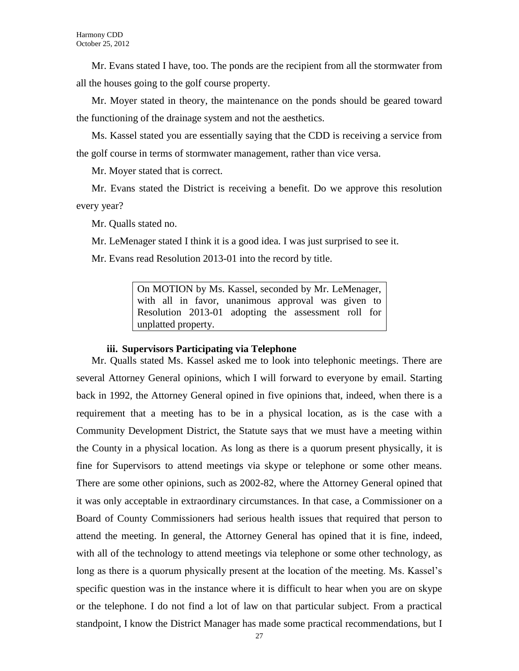Mr. Evans stated I have, too. The ponds are the recipient from all the stormwater from all the houses going to the golf course property.

Mr. Moyer stated in theory, the maintenance on the ponds should be geared toward the functioning of the drainage system and not the aesthetics.

Ms. Kassel stated you are essentially saying that the CDD is receiving a service from the golf course in terms of stormwater management, rather than vice versa.

Mr. Moyer stated that is correct.

Mr. Evans stated the District is receiving a benefit. Do we approve this resolution every year?

Mr. Qualls stated no.

Mr. LeMenager stated I think it is a good idea. I was just surprised to see it.

Mr. Evans read Resolution 2013-01 into the record by title.

On MOTION by Ms. Kassel, seconded by Mr. LeMenager, with all in favor, unanimous approval was given to Resolution 2013-01 adopting the assessment roll for unplatted property.

## **iii. Supervisors Participating via Telephone**

Mr. Qualls stated Ms. Kassel asked me to look into telephonic meetings. There are several Attorney General opinions, which I will forward to everyone by email. Starting back in 1992, the Attorney General opined in five opinions that, indeed, when there is a requirement that a meeting has to be in a physical location, as is the case with a Community Development District, the Statute says that we must have a meeting within the County in a physical location. As long as there is a quorum present physically, it is fine for Supervisors to attend meetings via skype or telephone or some other means. There are some other opinions, such as 2002-82, where the Attorney General opined that it was only acceptable in extraordinary circumstances. In that case, a Commissioner on a Board of County Commissioners had serious health issues that required that person to attend the meeting. In general, the Attorney General has opined that it is fine, indeed, with all of the technology to attend meetings via telephone or some other technology, as long as there is a quorum physically present at the location of the meeting. Ms. Kassel's specific question was in the instance where it is difficult to hear when you are on skype or the telephone. I do not find a lot of law on that particular subject. From a practical standpoint, I know the District Manager has made some practical recommendations, but I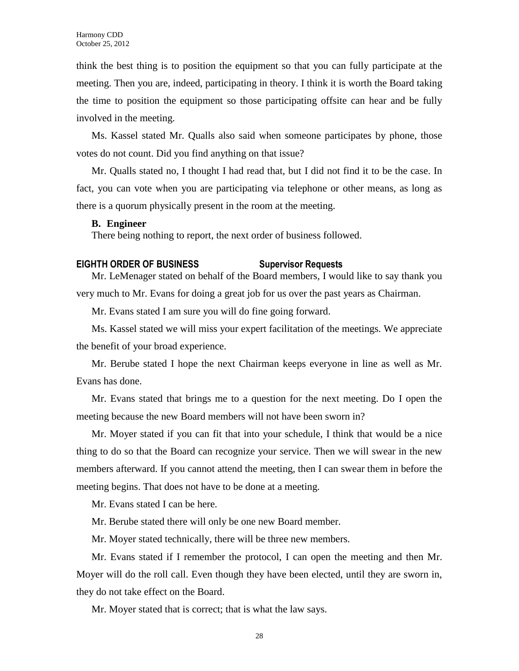think the best thing is to position the equipment so that you can fully participate at the meeting. Then you are, indeed, participating in theory. I think it is worth the Board taking the time to position the equipment so those participating offsite can hear and be fully involved in the meeting.

Ms. Kassel stated Mr. Qualls also said when someone participates by phone, those votes do not count. Did you find anything on that issue?

Mr. Qualls stated no, I thought I had read that, but I did not find it to be the case. In fact, you can vote when you are participating via telephone or other means, as long as there is a quorum physically present in the room at the meeting.

## **B. Engineer**

There being nothing to report, the next order of business followed.

## **EIGHTH ORDER OF BUSINESS Supervisor Requests**

Mr. LeMenager stated on behalf of the Board members, I would like to say thank you very much to Mr. Evans for doing a great job for us over the past years as Chairman.

Mr. Evans stated I am sure you will do fine going forward.

Ms. Kassel stated we will miss your expert facilitation of the meetings. We appreciate the benefit of your broad experience.

Mr. Berube stated I hope the next Chairman keeps everyone in line as well as Mr. Evans has done.

Mr. Evans stated that brings me to a question for the next meeting. Do I open the meeting because the new Board members will not have been sworn in?

Mr. Moyer stated if you can fit that into your schedule, I think that would be a nice thing to do so that the Board can recognize your service. Then we will swear in the new members afterward. If you cannot attend the meeting, then I can swear them in before the meeting begins. That does not have to be done at a meeting.

Mr. Evans stated I can be here.

Mr. Berube stated there will only be one new Board member.

Mr. Moyer stated technically, there will be three new members.

Mr. Evans stated if I remember the protocol, I can open the meeting and then Mr. Moyer will do the roll call. Even though they have been elected, until they are sworn in, they do not take effect on the Board.

Mr. Moyer stated that is correct; that is what the law says.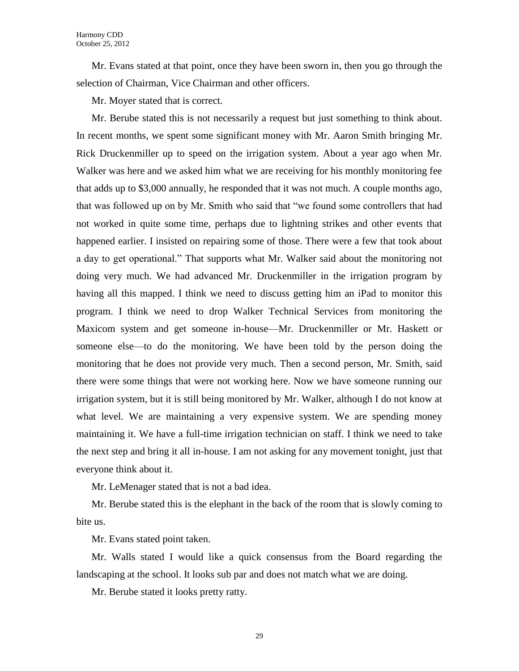Mr. Evans stated at that point, once they have been sworn in, then you go through the selection of Chairman, Vice Chairman and other officers.

Mr. Moyer stated that is correct.

Mr. Berube stated this is not necessarily a request but just something to think about. In recent months, we spent some significant money with Mr. Aaron Smith bringing Mr. Rick Druckenmiller up to speed on the irrigation system. About a year ago when Mr. Walker was here and we asked him what we are receiving for his monthly monitoring fee that adds up to \$3,000 annually, he responded that it was not much. A couple months ago, that was followed up on by Mr. Smith who said that "we found some controllers that had not worked in quite some time, perhaps due to lightning strikes and other events that happened earlier. I insisted on repairing some of those. There were a few that took about a day to get operational." That supports what Mr. Walker said about the monitoring not doing very much. We had advanced Mr. Druckenmiller in the irrigation program by having all this mapped. I think we need to discuss getting him an iPad to monitor this program. I think we need to drop Walker Technical Services from monitoring the Maxicom system and get someone in-house—Mr. Druckenmiller or Mr. Haskett or someone else—to do the monitoring. We have been told by the person doing the monitoring that he does not provide very much. Then a second person, Mr. Smith, said there were some things that were not working here. Now we have someone running our irrigation system, but it is still being monitored by Mr. Walker, although I do not know at what level. We are maintaining a very expensive system. We are spending money maintaining it. We have a full-time irrigation technician on staff. I think we need to take the next step and bring it all in-house. I am not asking for any movement tonight, just that everyone think about it.

Mr. LeMenager stated that is not a bad idea.

Mr. Berube stated this is the elephant in the back of the room that is slowly coming to bite us.

Mr. Evans stated point taken.

Mr. Walls stated I would like a quick consensus from the Board regarding the landscaping at the school. It looks sub par and does not match what we are doing.

Mr. Berube stated it looks pretty ratty.

29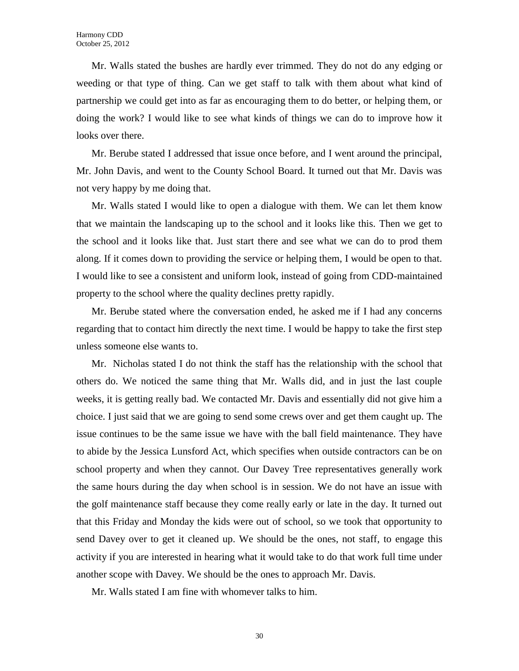Mr. Walls stated the bushes are hardly ever trimmed. They do not do any edging or weeding or that type of thing. Can we get staff to talk with them about what kind of partnership we could get into as far as encouraging them to do better, or helping them, or doing the work? I would like to see what kinds of things we can do to improve how it looks over there.

Mr. Berube stated I addressed that issue once before, and I went around the principal, Mr. John Davis, and went to the County School Board. It turned out that Mr. Davis was not very happy by me doing that.

Mr. Walls stated I would like to open a dialogue with them. We can let them know that we maintain the landscaping up to the school and it looks like this. Then we get to the school and it looks like that. Just start there and see what we can do to prod them along. If it comes down to providing the service or helping them, I would be open to that. I would like to see a consistent and uniform look, instead of going from CDD-maintained property to the school where the quality declines pretty rapidly.

Mr. Berube stated where the conversation ended, he asked me if I had any concerns regarding that to contact him directly the next time. I would be happy to take the first step unless someone else wants to.

Mr. Nicholas stated I do not think the staff has the relationship with the school that others do. We noticed the same thing that Mr. Walls did, and in just the last couple weeks, it is getting really bad. We contacted Mr. Davis and essentially did not give him a choice. I just said that we are going to send some crews over and get them caught up. The issue continues to be the same issue we have with the ball field maintenance. They have to abide by the Jessica Lunsford Act, which specifies when outside contractors can be on school property and when they cannot. Our Davey Tree representatives generally work the same hours during the day when school is in session. We do not have an issue with the golf maintenance staff because they come really early or late in the day. It turned out that this Friday and Monday the kids were out of school, so we took that opportunity to send Davey over to get it cleaned up. We should be the ones, not staff, to engage this activity if you are interested in hearing what it would take to do that work full time under another scope with Davey. We should be the ones to approach Mr. Davis.

Mr. Walls stated I am fine with whomever talks to him.